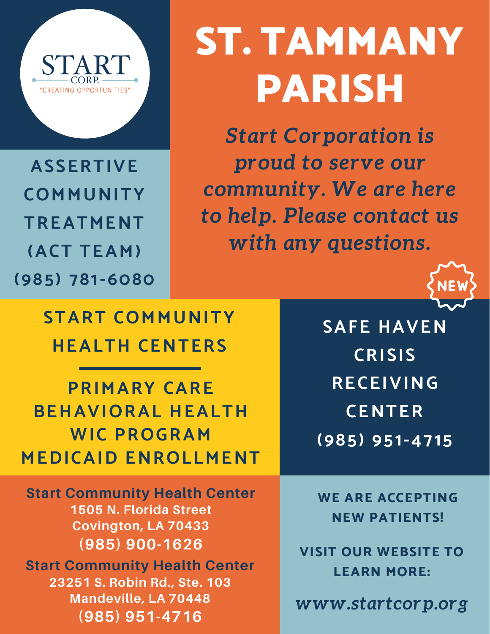

**ASSERTIVE COMMUNITY TREATMENT (ACT TEAM) (985) 781-6080**

## ST. TAMMANY PARISH

*Start Corporation is proud to serve our community. We are here to help. Please contact us with any questions.*



**START COMMUNITY HEALTH CENTERS**

**PRIMARY CARE BEHAVIORAL HEALTH WIC PROGRAM MEDICAID ENROLLMENT**

**Start Community Health Center 1505 N. Florida Street Covington, LA 70433 (985) 900-1626 Start Community Health Center 23251 S. Robin Rd., Ste. 103 Mandeville, LA 70448 (985) 951-4716**

**SAFE HAVEN CRISIS RECEIVING CENTER (985) [951-4715](tel:985-951-4715)**

**WE ARE ACCEPTING NEW PATIENTS!**

**VISIT OUR WEBSITE TO LEARN MORE:**

*www.startcorp.org*